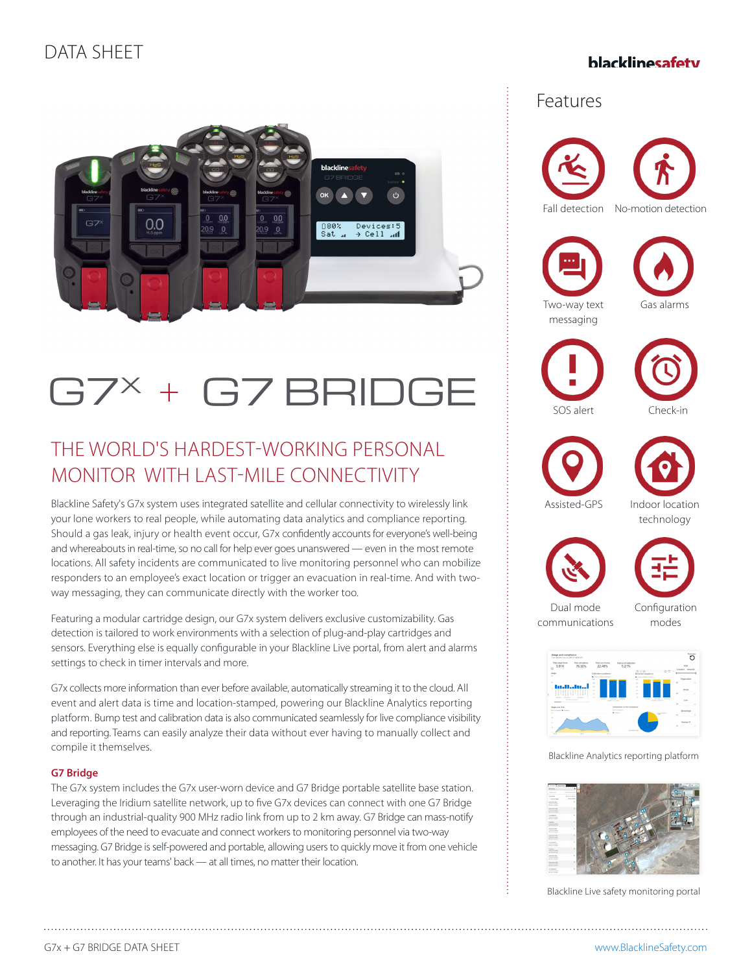## DATA SHEET

### hlacklinesafety



# G7X + G7 BRIDGE

## THE WORLD'S HARDEST-WORKING PERSONAL MONITOR WITH LAST-MILE CONNECTIVITY

Blackline Safety's G7x system uses integrated satellite and cellular connectivity to wirelessly link your lone workers to real people, while automating data analytics and compliance reporting. Should a gas leak, injury or health event occur, G7x confidently accounts for everyone's well-being and whereabouts in real-time, so no call for help ever goes unanswered — even in the most remote locations. All safety incidents are communicated to live monitoring personnel who can mobilize responders to an employee's exact location or trigger an evacuation in real-time. And with twoway messaging, they can communicate directly with the worker too.

Featuring a modular cartridge design, our G7x system delivers exclusive customizability. Gas detection is tailored to work environments with a selection of plug-and-play cartridges and sensors. Everything else is equally configurable in your Blackline Live portal, from alert and alarms settings to check in timer intervals and more.

G7x collects more information than ever before available, automatically streaming it to the cloud. All event and alert data is time and location-stamped, powering our Blackline Analytics reporting platform. Bump test and calibration data is also communicated seamlessly for live compliance visibility and reporting. Teams can easily analyze their data without ever having to manually collect and compile it themselves.

#### **G7 Bridge**

The G7x system includes the G7x user-worn device and G7 Bridge portable satellite base station. Leveraging the Iridium satellite network, up to five G7x devices can connect with one G7 Bridge through an industrial-quality 900 MHz radio link from up to 2 km away. G7 Bridge can mass-notify employees of the need to evacuate and connect workers to monitoring personnel via two-way messaging. G7 Bridge is self-powered and portable, allowing users to quickly move it from one vehicle to another. It has your teams' back — at all times, no matter their location.

## Features













Assisted-GPS Indoor location technology





Dual mode communications Configuration modes



Blackline Analytics reporting platform



Blackline Live safety monitoring portal